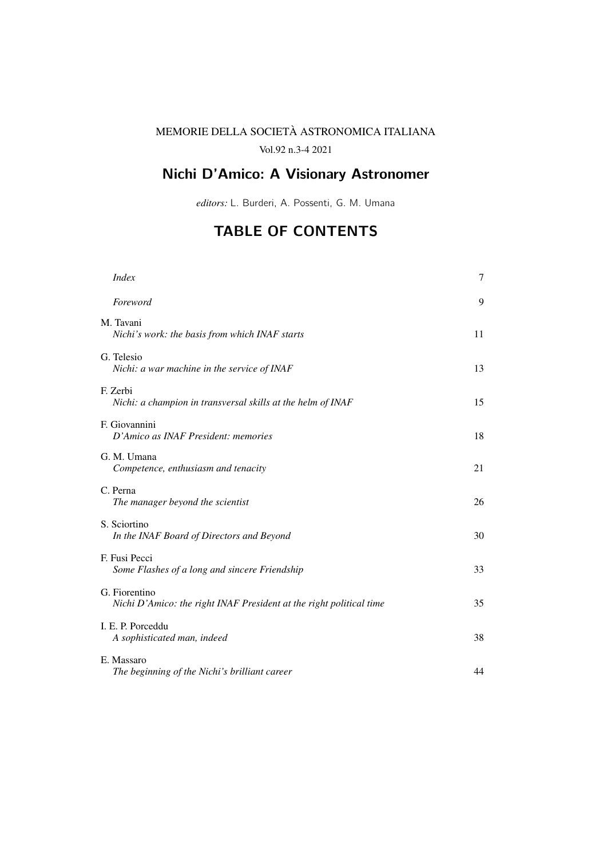## MEMORIE DELLA SOCIETA ASTRONOMICA ITALIANA `

Vol.92 n.3-4 2021

## Nichi D'Amico: A Visionary Astronomer

*editors:* L. Burderi, A. Possenti, G. M. Umana

## TABLE OF CONTENTS

| <i>Index</i>                                                                         | $\tau$ |
|--------------------------------------------------------------------------------------|--------|
| Foreword                                                                             | 9      |
| M. Tavani<br>Nichi's work: the basis from which INAF starts                          | 11     |
| G. Telesio<br>Nichi: a war machine in the service of INAF                            | 13     |
| F. Zerbi<br>Nichi: a champion in transversal skills at the helm of INAF              | 15     |
| F. Giovannini<br>D'Amico as INAF President: memories                                 | 18     |
| G. M. Umana<br>Competence, enthusiasm and tenacity                                   | 21     |
| C. Perna<br>The manager beyond the scientist                                         | 26     |
| S. Sciortino<br>In the INAF Board of Directors and Beyond                            | 30     |
| F. Fusi Pecci<br>Some Flashes of a long and sincere Friendship                       | 33     |
| G. Fiorentino<br>Nichi D'Amico: the right INAF President at the right political time | 35     |
| I. E. P. Porceddu<br>A sophisticated man, indeed                                     | 38     |
| E. Massaro<br>The beginning of the Nichi's brilliant career                          | 44     |